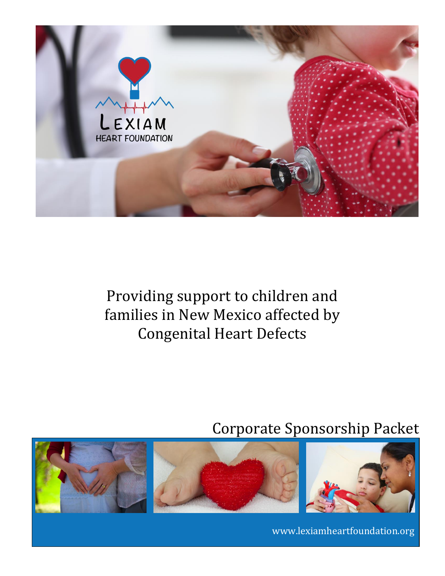

## Providing support to children and families in New Mexico affected by Congenital Heart Defects

## Corporate Sponsorship Packet



www.lexiamheartfoundation.org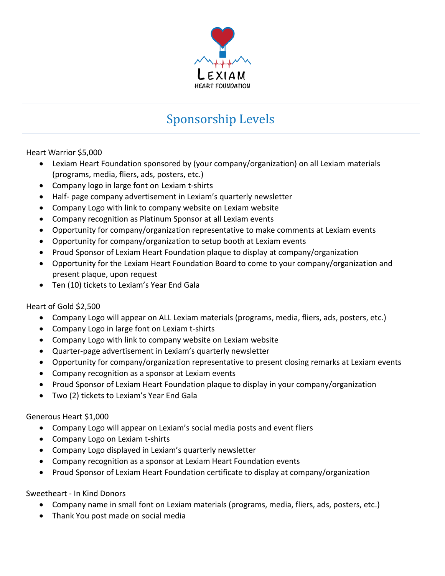

## Sponsorship Levels

Heart Warrior \$5,000

- Lexiam Heart Foundation sponsored by (your company/organization) on all Lexiam materials (programs, media, fliers, ads, posters, etc.)
- Company logo in large font on Lexiam t-shirts
- Half- page company advertisement in Lexiam's quarterly newsletter
- Company Logo with link to company website on Lexiam website
- Company recognition as Platinum Sponsor at all Lexiam events
- Opportunity for company/organization representative to make comments at Lexiam events
- Opportunity for company/organization to setup booth at Lexiam events
- Proud Sponsor of Lexiam Heart Foundation plaque to display at company/organization
- Opportunity for the Lexiam Heart Foundation Board to come to your company/organization and present plaque, upon request
- Ten (10) tickets to Lexiam's Year End Gala

Heart of Gold \$2,500

- Company Logo will appear on ALL Lexiam materials (programs, media, fliers, ads, posters, etc.)
- Company Logo in large font on Lexiam t-shirts
- Company Logo with link to company website on Lexiam website
- Quarter-page advertisement in Lexiam's quarterly newsletter
- Opportunity for company/organization representative to present closing remarks at Lexiam events
- Company recognition as a sponsor at Lexiam events
- Proud Sponsor of Lexiam Heart Foundation plaque to display in your company/organization
- Two (2) tickets to Lexiam's Year End Gala

Generous Heart \$1,000

- Company Logo will appear on Lexiam's social media posts and event fliers
- Company Logo on Lexiam t-shirts
- Company Logo displayed in Lexiam's quarterly newsletter
- Company recognition as a sponsor at Lexiam Heart Foundation events
- Proud Sponsor of Lexiam Heart Foundation certificate to display at company/organization

Sweetheart - In Kind Donors

- Company name in small font on Lexiam materials (programs, media, fliers, ads, posters, etc.)
- Thank You post made on social media